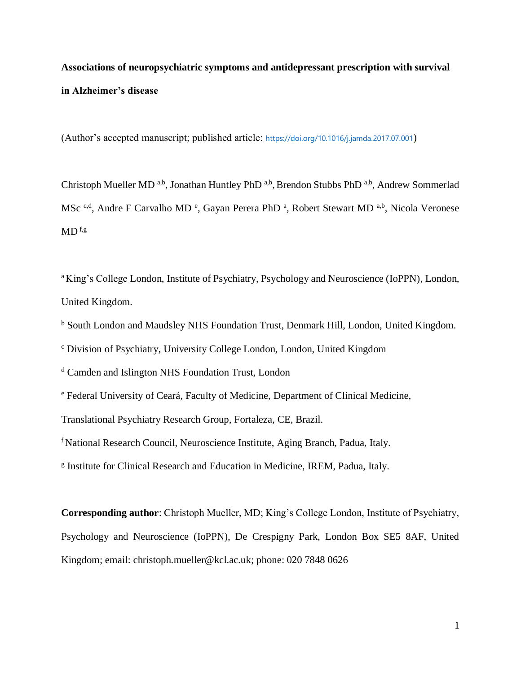# **Associations of neuropsychiatric symptoms and antidepressant prescription with survival in Alzheimer's disease**

(Author's accepted manuscript; published article: <https://doi.org/10.1016/j.jamda.2017.07.001>)

Christoph Mueller MD<sup>a,b</sup>, Jonathan Huntley PhD<sup>a,b</sup>, Brendon Stubbs PhD<sup>a,b</sup>, Andrew Sommerlad MSc <sup>c,d</sup>, Andre F Carvalho MD <sup>e</sup>, Gayan Perera PhD <sup>a</sup>, Robert Stewart MD <sup>a,b</sup>, Nicola Veronese  $MD<sup>f,g</sup>$ 

<sup>a</sup>King's College London, Institute of Psychiatry, Psychology and Neuroscience (IoPPN), London, United Kingdom.

<sup>b</sup> South London and Maudsley NHS Foundation Trust, Denmark Hill, London, United Kingdom.

<sup>c</sup> Division of Psychiatry, University College London, London, United Kingdom

<sup>d</sup> Camden and Islington NHS Foundation Trust, London

<sup>e</sup> Federal University of Ceará, Faculty of Medicine, Department of Clinical Medicine,

Translational Psychiatry Research Group, Fortaleza, CE, Brazil.

<sup>f</sup> National Research Council, Neuroscience Institute, Aging Branch, Padua, Italy.

<sup>g</sup> Institute for Clinical Research and Education in Medicine, IREM, Padua, Italy.

**Corresponding author**: Christoph Mueller, MD; King's College London, Institute of Psychiatry, Psychology and Neuroscience (IoPPN), De Crespigny Park, London Box SE5 8AF, United Kingdom; email: christoph.mueller@kcl.ac.uk; phone: 020 7848 0626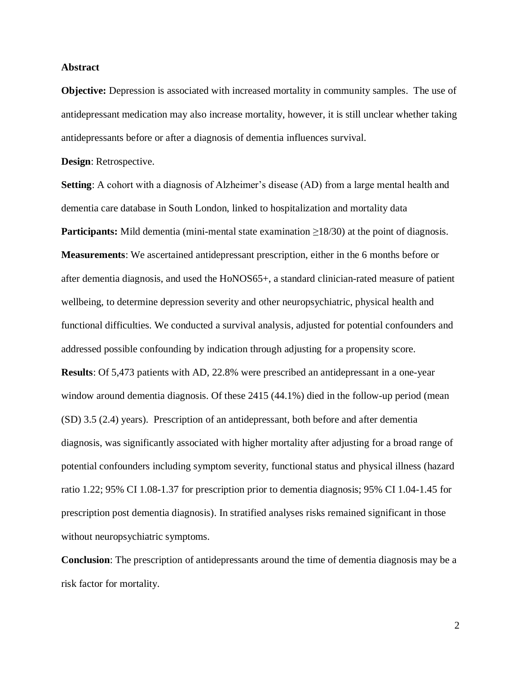### **Abstract**

**Objective:** Depression is associated with increased mortality in community samples. The use of antidepressant medication may also increase mortality, however, it is still unclear whether taking antidepressants before or after a diagnosis of dementia influences survival.

**Design**: Retrospective.

**Setting**: A cohort with a diagnosis of Alzheimer's disease (AD) from a large mental health and dementia care database in South London, linked to hospitalization and mortality data **Participants:** Mild dementia (mini-mental state examination ≥18/30) at the point of diagnosis. **Measurements**: We ascertained antidepressant prescription, either in the 6 months before or after dementia diagnosis, and used the HoNOS65+, a standard clinician-rated measure of patient wellbeing, to determine depression severity and other neuropsychiatric, physical health and functional difficulties. We conducted a survival analysis, adjusted for potential confounders and addressed possible confounding by indication through adjusting for a propensity score. **Results**: Of 5,473 patients with AD, 22.8% were prescribed an antidepressant in a one-year window around dementia diagnosis. Of these 2415 (44.1%) died in the follow-up period (mean (SD) 3.5 (2.4) years). Prescription of an antidepressant, both before and after dementia diagnosis, was significantly associated with higher mortality after adjusting for a broad range of potential confounders including symptom severity, functional status and physical illness (hazard ratio 1.22; 95% CI 1.08-1.37 for prescription prior to dementia diagnosis; 95% CI 1.04-1.45 for prescription post dementia diagnosis). In stratified analyses risks remained significant in those without neuropsychiatric symptoms.

**Conclusion**: The prescription of antidepressants around the time of dementia diagnosis may be a risk factor for mortality.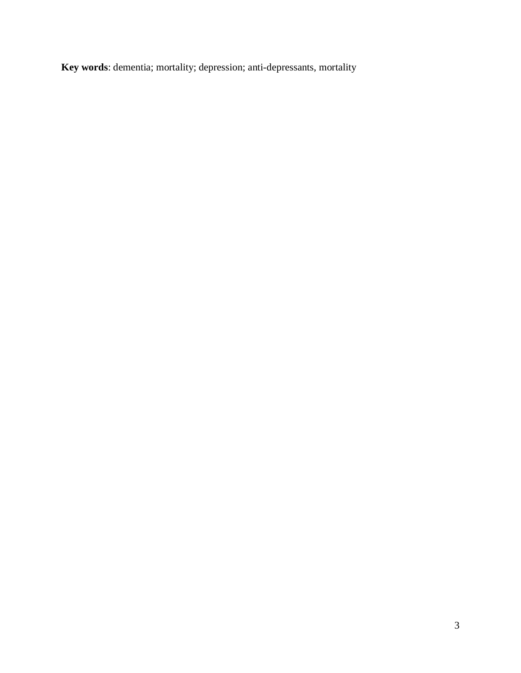**Key words**: dementia; mortality; depression; anti-depressants, mortality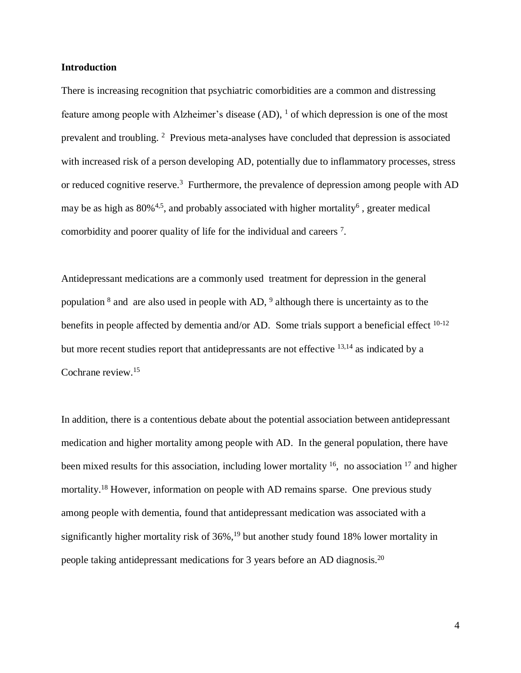### **Introduction**

There is increasing recognition that psychiatric comorbidities are a common and distressing feature among people with Alzheimer's disease (AD), <sup>1</sup> of which depression is one of the most prevalent and troubling. <sup>2</sup> Previous meta-analyses have concluded that depression is associated with increased risk of a person developing AD, potentially due to inflammatory processes, stress or reduced cognitive reserve.<sup>3</sup> Furthermore, the prevalence of depression among people with AD may be as high as  $80\%$ <sup>[4,](#page-16-0)[5](#page-16-1)</sup>, and probably associated with higher mortality<sup>6</sup>, greater medical comorbidity and poorer quality of life for the individual and careers<sup>7</sup>.

Antidepressant medications are a commonly used treatment for depression in the general population  $\delta$  and are also used in people with AD,  $\delta$  although there is uncertainty as to the benefits in people affected by dementia and/or AD. Some trials support a beneficial effect  $10-12$ but more recent studies report that antidepressants are not effective <sup>[13,](#page-16-2)[14](#page-16-3)</sup> as indicated by a Cochrane review.<sup>15</sup>

In addition, there is a contentious debate about the potential association between antidepressant medication and higher mortality among people with AD. In the general population, there have been mixed results for this association, including lower mortality <sup>16</sup>, no association <sup>17</sup> and higher mortality.<sup>18</sup> However, information on people with AD remains sparse. One previous study among people with dementia, found that antidepressant medication was associated with a significantly higher mortality risk of 36%,<sup>19</sup> but another study found 18% lower mortality in people taking antidepressant medications for 3 years before an AD diagnosis.<sup>20</sup>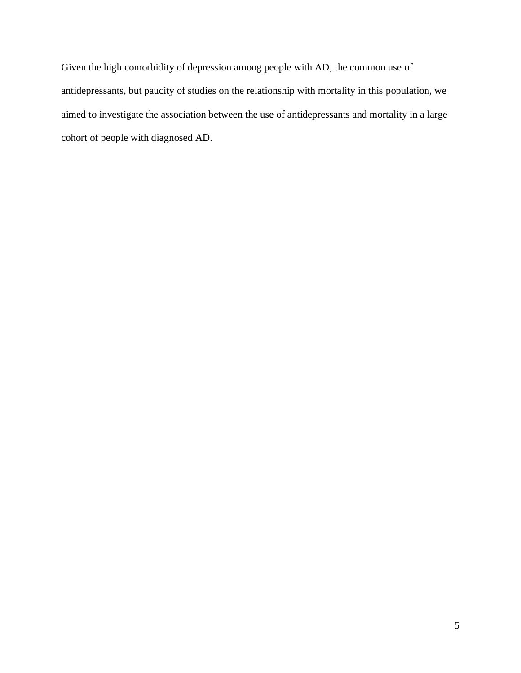Given the high comorbidity of depression among people with AD, the common use of antidepressants, but paucity of studies on the relationship with mortality in this population, we aimed to investigate the association between the use of antidepressants and mortality in a large cohort of people with diagnosed AD.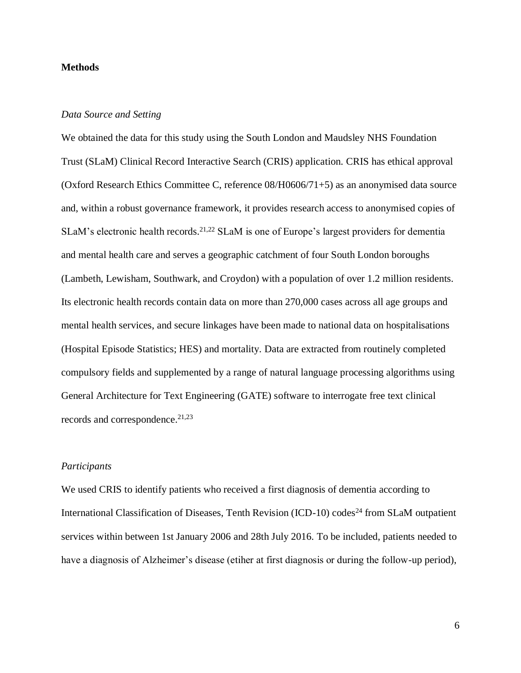# **Methods**

# *Data Source and Setting*

We obtained the data for this study using the South London and Maudsley NHS Foundation Trust (SLaM) Clinical Record Interactive Search (CRIS) application. CRIS has ethical approval (Oxford Research Ethics Committee C, reference 08/H0606/71+5) as an anonymised data source and, within a robust governance framework, it provides research access to anonymised copies of SLaM's electronic health records.<sup>[21,](#page-17-0)[22](#page-17-1)</sup> SLaM is one of Europe's largest providers for dementia and mental health care and serves a geographic catchment of four South London boroughs (Lambeth, Lewisham, Southwark, and Croydon) with a population of over 1.2 million residents. Its electronic health records contain data on more than 270,000 cases across all age groups and mental health services, and secure linkages have been made to national data on hospitalisations (Hospital Episode Statistics; HES) and mortality. Data are extracted from routinely completed compulsory fields and supplemented by a range of natural language processing algorithms using General Architecture for Text Engineering (GATE) software to interrogate free text clinical records and correspondence. [21,](#page-17-0)[23](#page-17-2)

# *Participants*

We used CRIS to identify patients who received a first diagnosis of dementia according to International Classification of Diseases, Tenth Revision (ICD-10) codes<sup>24</sup> from SLaM outpatient services within between 1st January 2006 and 28th July 2016. To be included, patients needed to have a diagnosis of Alzheimer's disease (etiher at first diagnosis or during the follow-up period),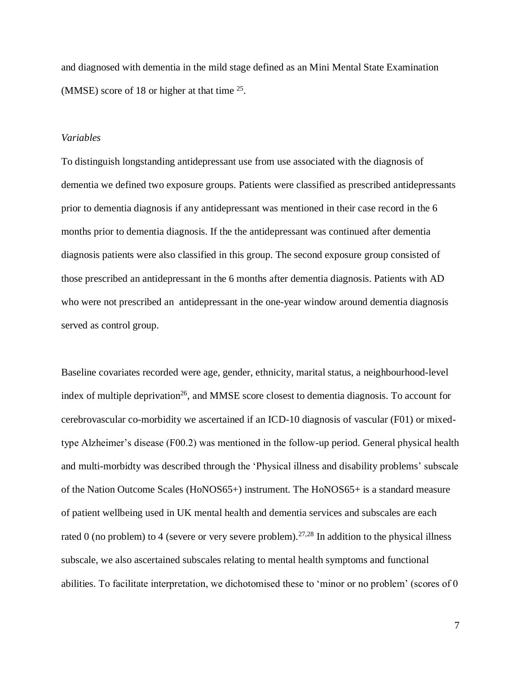and diagnosed with dementia in the mild stage defined as an Mini Mental State Examination (MMSE) score of 18 or higher at that time  $25$ .

#### *Variables*

To distinguish longstanding antidepressant use from use associated with the diagnosis of dementia we defined two exposure groups. Patients were classified as prescribed antidepressants prior to dementia diagnosis if any antidepressant was mentioned in their case record in the 6 months prior to dementia diagnosis. If the the antidepressant was continued after dementia diagnosis patients were also classified in this group. The second exposure group consisted of those prescribed an antidepressant in the 6 months after dementia diagnosis. Patients with AD who were not prescribed an antidepressant in the one-year window around dementia diagnosis served as control group.

Baseline covariates recorded were age, gender, ethnicity, marital status, a neighbourhood-level index of multiple deprivation<sup>26</sup>, and MMSE score closest to dementia diagnosis. To account for cerebrovascular co-morbidity we ascertained if an ICD-10 diagnosis of vascular (F01) or mixedtype Alzheimer's disease (F00.2) was mentioned in the follow-up period. General physical health and multi-morbidty was described through the 'Physical illness and disability problems' subscale of the Nation Outcome Scales (HoNOS65+) instrument. The HoNOS65+ is a standard measure of patient wellbeing used in UK mental health and dementia services and subscales are each rated 0 (no problem) to 4 (severe or very severe problem).<sup>[27,](#page-17-3)[28](#page-17-4)</sup> In addition to the physical illness subscale, we also ascertained subscales relating to mental health symptoms and functional abilities. To facilitate interpretation, we dichotomised these to 'minor or no problem' (scores of 0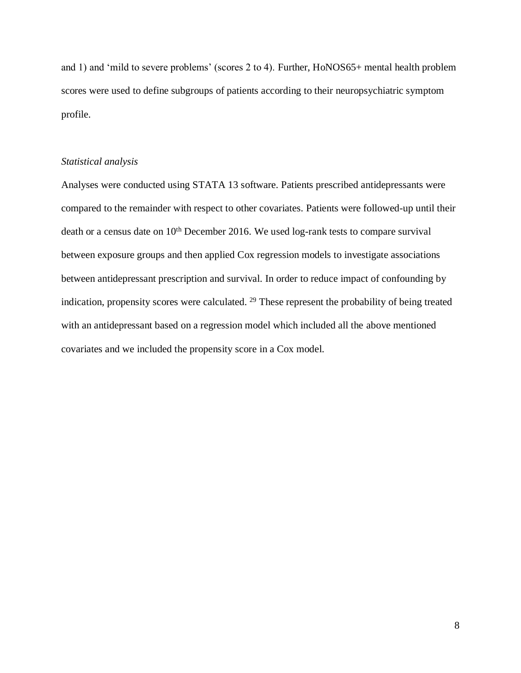and 1) and 'mild to severe problems' (scores 2 to 4). Further, HoNOS65+ mental health problem scores were used to define subgroups of patients according to their neuropsychiatric symptom profile.

# *Statistical analysis*

Analyses were conducted using STATA 13 software. Patients prescribed antidepressants were compared to the remainder with respect to other covariates. Patients were followed-up until their death or a census date on  $10<sup>th</sup>$  December 2016. We used log-rank tests to compare survival between exposure groups and then applied Cox regression models to investigate associations between antidepressant prescription and survival. In order to reduce impact of confounding by indication, propensity scores were calculated. <sup>29</sup> These represent the probability of being treated with an antidepressant based on a regression model which included all the above mentioned covariates and we included the propensity score in a Cox model.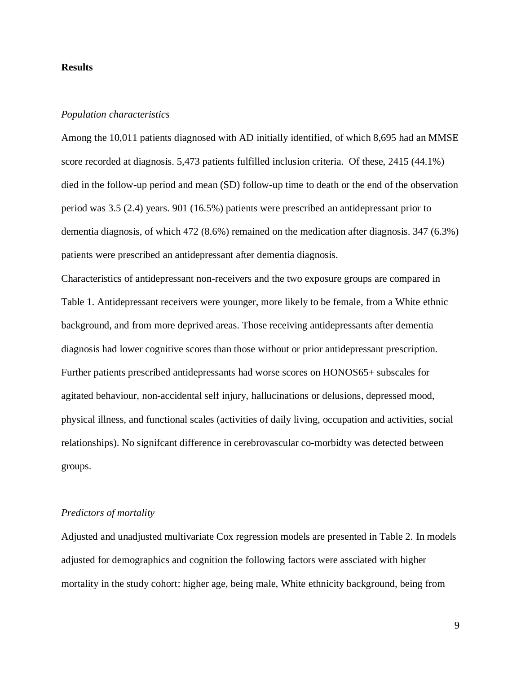#### **Results**

### *Population characteristics*

Among the 10,011 patients diagnosed with AD initially identified, of which 8,695 had an MMSE score recorded at diagnosis. 5,473 patients fulfilled inclusion criteria. Of these, 2415 (44.1%) died in the follow-up period and mean (SD) follow-up time to death or the end of the observation period was 3.5 (2.4) years. 901 (16.5%) patients were prescribed an antidepressant prior to dementia diagnosis, of which 472 (8.6%) remained on the medication after diagnosis. 347 (6.3%) patients were prescribed an antidepressant after dementia diagnosis.

Characteristics of antidepressant non-receivers and the two exposure groups are compared in Table 1. Antidepressant receivers were younger, more likely to be female, from a White ethnic background, and from more deprived areas. Those receiving antidepressants after dementia diagnosis had lower cognitive scores than those without or prior antidepressant prescription. Further patients prescribed antidepressants had worse scores on HONOS65+ subscales for agitated behaviour, non-accidental self injury, hallucinations or delusions, depressed mood, physical illness, and functional scales (activities of daily living, occupation and activities, social relationships). No signifcant difference in cerebrovascular co-morbidty was detected between groups.

#### *Predictors of mortality*

Adjusted and unadjusted multivariate Cox regression models are presented in Table 2. In models adjusted for demographics and cognition the following factors were assciated with higher mortality in the study cohort: higher age, being male, White ethnicity background, being from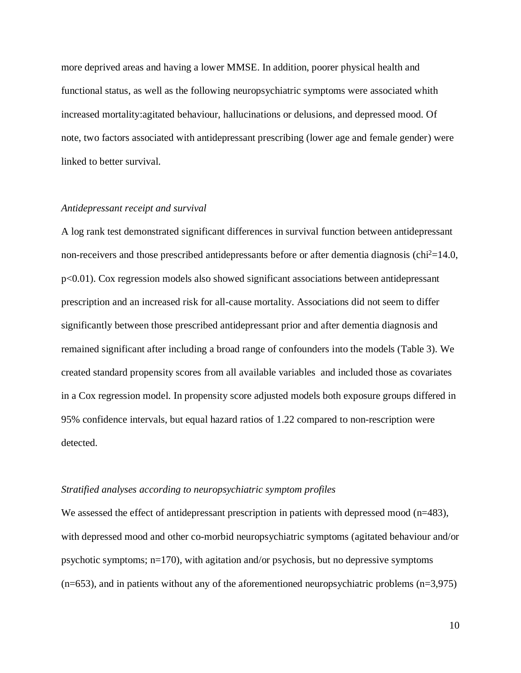more deprived areas and having a lower MMSE. In addition, poorer physical health and functional status, as well as the following neuropsychiatric symptoms were associated whith increased mortality:agitated behaviour, hallucinations or delusions, and depressed mood. Of note, two factors associated with antidepressant prescribing (lower age and female gender) were linked to better survival.

#### *Antidepressant receipt and survival*

A log rank test demonstrated significant differences in survival function between antidepressant non-receivers and those prescribed antidepressants before or after dementia diagnosis (chi<sup>2</sup>=14.0, p<0.01). Cox regression models also showed significant associations between antidepressant prescription and an increased risk for all-cause mortality. Associations did not seem to differ significantly between those prescribed antidepressant prior and after dementia diagnosis and remained significant after including a broad range of confounders into the models (Table 3). We created standard propensity scores from all available variables and included those as covariates in a Cox regression model. In propensity score adjusted models both exposure groups differed in 95% confidence intervals, but equal hazard ratios of 1.22 compared to non-rescription were detected.

# *Stratified analyses according to neuropsychiatric symptom profiles*

We assessed the effect of antidepressant prescription in patients with depressed mood (n=483), with depressed mood and other co-morbid neuropsychiatric symptoms (agitated behaviour and/or psychotic symptoms; n=170), with agitation and/or psychosis, but no depressive symptoms  $(n=653)$ , and in patients without any of the aforementioned neuropsychiatric problems  $(n=3,975)$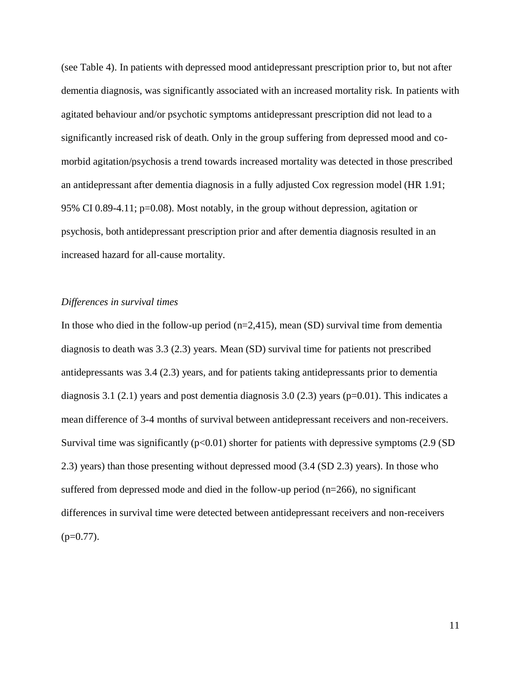(see Table 4). In patients with depressed mood antidepressant prescription prior to, but not after dementia diagnosis, was significantly associated with an increased mortality risk. In patients with agitated behaviour and/or psychotic symptoms antidepressant prescription did not lead to a significantly increased risk of death. Only in the group suffering from depressed mood and comorbid agitation/psychosis a trend towards increased mortality was detected in those prescribed an antidepressant after dementia diagnosis in a fully adjusted Cox regression model (HR 1.91; 95% CI 0.89-4.11; p=0.08). Most notably, in the group without depression, agitation or psychosis, both antidepressant prescription prior and after dementia diagnosis resulted in an increased hazard for all-cause mortality.

#### *Differences in survival times*

In those who died in the follow-up period  $(n=2,415)$ , mean (SD) survival time from dementia diagnosis to death was 3.3 (2.3) years. Mean (SD) survival time for patients not prescribed antidepressants was 3.4 (2.3) years, and for patients taking antidepressants prior to dementia diagnosis 3.1 (2.1) years and post dementia diagnosis 3.0 (2.3) years ( $p=0.01$ ). This indicates a mean difference of 3-4 months of survival between antidepressant receivers and non-receivers. Survival time was significantly  $(p<0.01)$  shorter for patients with depressive symptoms (2.9 (SD) 2.3) years) than those presenting without depressed mood (3.4 (SD 2.3) years). In those who suffered from depressed mode and died in the follow-up period (n=266), no significant differences in survival time were detected between antidepressant receivers and non-receivers  $(p=0.77)$ .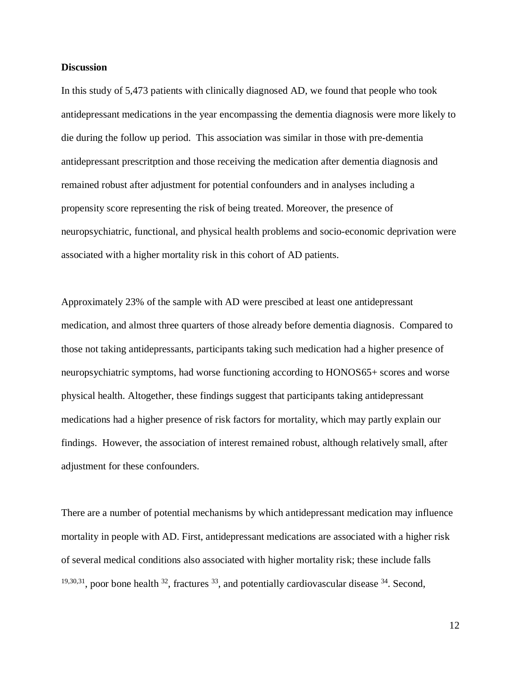### **Discussion**

In this study of 5,473 patients with clinically diagnosed AD, we found that people who took antidepressant medications in the year encompassing the dementia diagnosis were more likely to die during the follow up period. This association was similar in those with pre-dementia antidepressant prescritption and those receiving the medication after dementia diagnosis and remained robust after adjustment for potential confounders and in analyses including a propensity score representing the risk of being treated. Moreover, the presence of neuropsychiatric, functional, and physical health problems and socio-economic deprivation were associated with a higher mortality risk in this cohort of AD patients.

Approximately 23% of the sample with AD were prescibed at least one antidepressant medication, and almost three quarters of those already before dementia diagnosis. Compared to those not taking antidepressants, participants taking such medication had a higher presence of neuropsychiatric symptoms, had worse functioning according to HONOS65+ scores and worse physical health. Altogether, these findings suggest that participants taking antidepressant medications had a higher presence of risk factors for mortality, which may partly explain our findings. However, the association of interest remained robust, although relatively small, after adjustment for these confounders.

There are a number of potential mechanisms by which antidepressant medication may influence mortality in people with AD. First, antidepressant medications are associated with a higher risk of several medical conditions also associated with higher mortality risk; these include falls  $19,30,31$  $19,30,31$  $19,30,31$ , poor bone health  $32$ , fractures  $33$ , and potentially cardiovascular disease  $34$ . Second,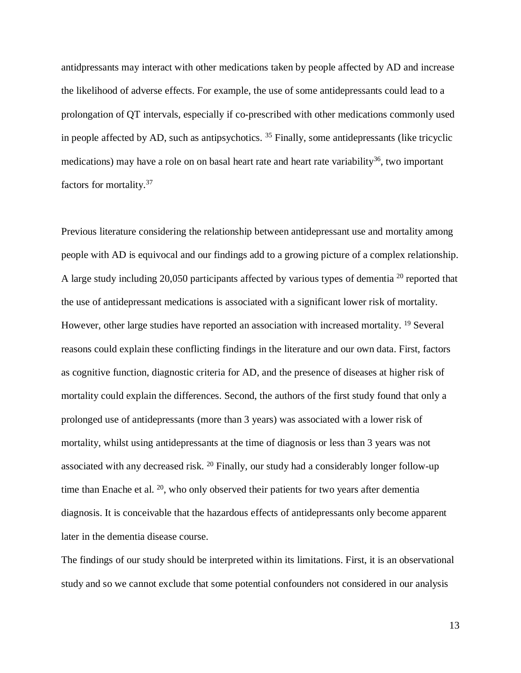antidpressants may interact with other medications taken by people affected by AD and increase the likelihood of adverse effects. For example, the use of some antidepressants could lead to a prolongation of QT intervals, especially if co-prescribed with other medications commonly used in people affected by AD, such as antipsychotics.  $35$  Finally, some antidepressants (like tricyclic medications) may have a role on on basal heart rate and heart rate variability<sup>36</sup>, two important factors for mortality.<sup>37</sup>

Previous literature considering the relationship between antidepressant use and mortality among people with AD is equivocal and our findings add to a growing picture of a complex relationship. A large study including 20,050 participants affected by various types of dementia <sup>20</sup> reported that the use of antidepressant medications is associated with a significant lower risk of mortality. However, other large studies have reported an association with increased mortality. <sup>19</sup> Several reasons could explain these conflicting findings in the literature and our own data. First, factors as cognitive function, diagnostic criteria for AD, and the presence of diseases at higher risk of mortality could explain the differences. Second, the authors of the first study found that only a prolonged use of antidepressants (more than 3 years) was associated with a lower risk of mortality, whilst using antidepressants at the time of diagnosis or less than 3 years was not associated with any decreased risk. <sup>20</sup> Finally, our study had a considerably longer follow-up time than Enache et al.  $20$ , who only observed their patients for two years after dementia diagnosis. It is conceivable that the hazardous effects of antidepressants only become apparent later in the dementia disease course.

The findings of our study should be interpreted within its limitations. First, it is an observational study and so we cannot exclude that some potential confounders not considered in our analysis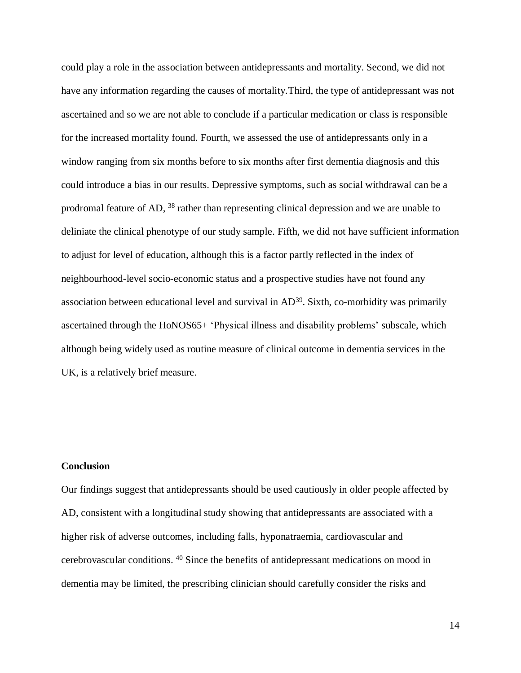could play a role in the association between antidepressants and mortality. Second, we did not have any information regarding the causes of mortality.Third, the type of antidepressant was not ascertained and so we are not able to conclude if a particular medication or class is responsible for the increased mortality found. Fourth, we assessed the use of antidepressants only in a window ranging from six months before to six months after first dementia diagnosis and this could introduce a bias in our results. Depressive symptoms, such as social withdrawal can be a prodromal feature of AD, <sup>38</sup> rather than representing clinical depression and we are unable to deliniate the clinical phenotype of our study sample. Fifth, we did not have sufficient information to adjust for level of education, although this is a factor partly reflected in the index of neighbourhood-level socio-economic status and a prospective studies have not found any association between educational level and survival in AD<sup>39</sup>. Sixth, co-morbidity was primarily ascertained through the HoNOS65+ 'Physical illness and disability problems' subscale, which although being widely used as routine measure of clinical outcome in dementia services in the UK, is a relatively brief measure.

# **Conclusion**

Our findings suggest that antidepressants should be used cautiously in older people affected by AD, consistent with a longitudinal study showing that antidepressants are associated with a higher risk of adverse outcomes, including falls, hyponatraemia, cardiovascular and cerebrovascular conditions. <sup>40</sup> Since the benefits of antidepressant medications on mood in dementia may be limited, the prescribing clinician should carefully consider the risks and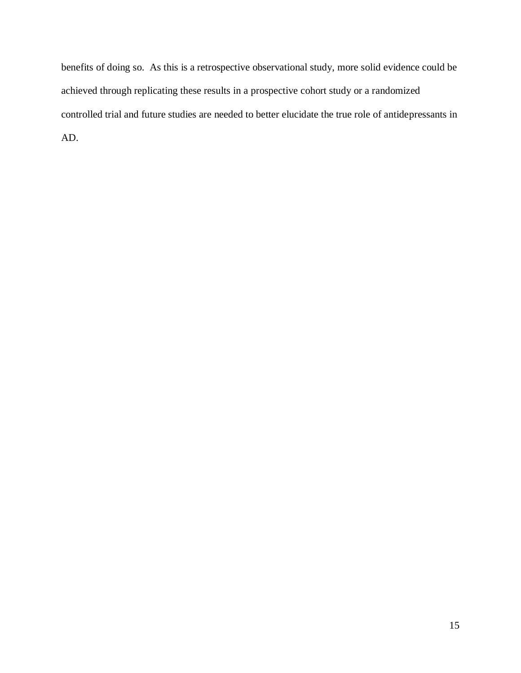benefits of doing so. As this is a retrospective observational study, more solid evidence could be achieved through replicating these results in a prospective cohort study or a randomized controlled trial and future studies are needed to better elucidate the true role of antidepressants in AD.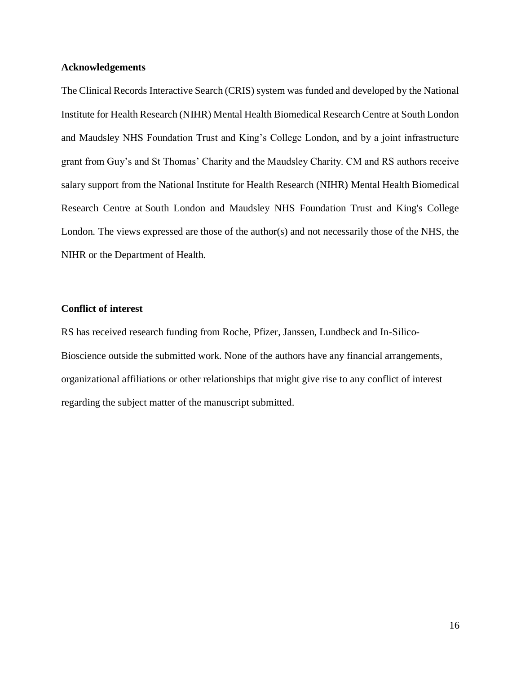# **Acknowledgements**

The Clinical Records Interactive Search (CRIS) system was funded and developed by the National Institute for Health Research (NIHR) Mental Health Biomedical Research Centre at South London and Maudsley NHS Foundation Trust and King's College London, and by a joint infrastructure grant from Guy's and St Thomas' Charity and the Maudsley Charity. CM and RS authors receive salary support from the National Institute for Health Research (NIHR) Mental Health Biomedical Research Centre at South London and Maudsley NHS Foundation Trust and King's College London. The views expressed are those of the author(s) and not necessarily those of the NHS, the NIHR or the Department of Health.

# **Conflict of interest**

RS has received research funding from Roche, Pfizer, Janssen, Lundbeck and In-Silico-Bioscience outside the submitted work. None of the authors have any financial arrangements, organizational affiliations or other relationships that might give rise to any conflict of interest regarding the subject matter of the manuscript submitted.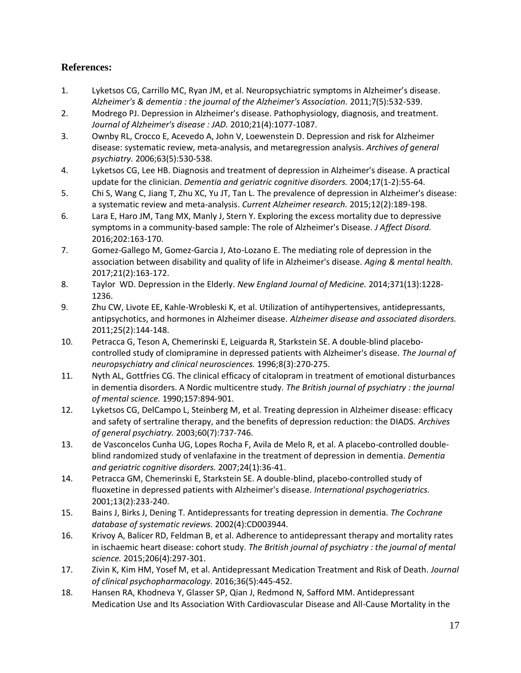# **References:**

- 1. Lyketsos CG, Carrillo MC, Ryan JM, et al. Neuropsychiatric symptoms in Alzheimer's disease. *Alzheimer's & dementia : the journal of the Alzheimer's Association.* 2011;7(5):532-539.
- 2. Modrego PJ. Depression in Alzheimer's disease. Pathophysiology, diagnosis, and treatment. *Journal of Alzheimer's disease : JAD.* 2010;21(4):1077-1087.
- 3. Ownby RL, Crocco E, Acevedo A, John V, Loewenstein D. Depression and risk for Alzheimer disease: systematic review, meta-analysis, and metaregression analysis. *Archives of general psychiatry.* 2006;63(5):530-538.
- <span id="page-16-0"></span>4. Lyketsos CG, Lee HB. Diagnosis and treatment of depression in Alzheimer's disease. A practical update for the clinician. *Dementia and geriatric cognitive disorders.* 2004;17(1-2):55-64.
- <span id="page-16-1"></span>5. Chi S, Wang C, Jiang T, Zhu XC, Yu JT, Tan L. The prevalence of depression in Alzheimer's disease: a systematic review and meta-analysis. *Current Alzheimer research.* 2015;12(2):189-198.
- 6. Lara E, Haro JM, Tang MX, Manly J, Stern Y. Exploring the excess mortality due to depressive symptoms in a community-based sample: The role of Alzheimer's Disease. *J Affect Disord.*  2016;202:163-170.
- 7. Gomez-Gallego M, Gomez-Garcia J, Ato-Lozano E. The mediating role of depression in the association between disability and quality of life in Alzheimer's disease. *Aging & mental health.*  2017;21(2):163-172.
- 8. Taylor WD. Depression in the Elderly. *New England Journal of Medicine.* 2014;371(13):1228- 1236.
- 9. Zhu CW, Livote EE, Kahle-Wrobleski K, et al. Utilization of antihypertensives, antidepressants, antipsychotics, and hormones in Alzheimer disease. *Alzheimer disease and associated disorders.*  2011;25(2):144-148.
- 10. Petracca G, Teson A, Chemerinski E, Leiguarda R, Starkstein SE. A double-blind placebocontrolled study of clomipramine in depressed patients with Alzheimer's disease. *The Journal of neuropsychiatry and clinical neurosciences.* 1996;8(3):270-275.
- 11. Nyth AL, Gottfries CG. The clinical efficacy of citalopram in treatment of emotional disturbances in dementia disorders. A Nordic multicentre study. *The British journal of psychiatry : the journal of mental science.* 1990;157:894-901.
- 12. Lyketsos CG, DelCampo L, Steinberg M, et al. Treating depression in Alzheimer disease: efficacy and safety of sertraline therapy, and the benefits of depression reduction: the DIADS. *Archives of general psychiatry.* 2003;60(7):737-746.
- <span id="page-16-2"></span>13. de Vasconcelos Cunha UG, Lopes Rocha F, Avila de Melo R, et al. A placebo-controlled doubleblind randomized study of venlafaxine in the treatment of depression in dementia. *Dementia and geriatric cognitive disorders.* 2007;24(1):36-41.
- <span id="page-16-3"></span>14. Petracca GM, Chemerinski E, Starkstein SE. A double-blind, placebo-controlled study of fluoxetine in depressed patients with Alzheimer's disease. *International psychogeriatrics.*  2001;13(2):233-240.
- 15. Bains J, Birks J, Dening T. Antidepressants for treating depression in dementia. *The Cochrane database of systematic reviews.* 2002(4):CD003944.
- 16. Krivoy A, Balicer RD, Feldman B, et al. Adherence to antidepressant therapy and mortality rates in ischaemic heart disease: cohort study. *The British journal of psychiatry : the journal of mental science.* 2015;206(4):297-301.
- 17. Zivin K, Kim HM, Yosef M, et al. Antidepressant Medication Treatment and Risk of Death. *Journal of clinical psychopharmacology.* 2016;36(5):445-452.
- 18. Hansen RA, Khodneva Y, Glasser SP, Qian J, Redmond N, Safford MM. Antidepressant Medication Use and Its Association With Cardiovascular Disease and All-Cause Mortality in the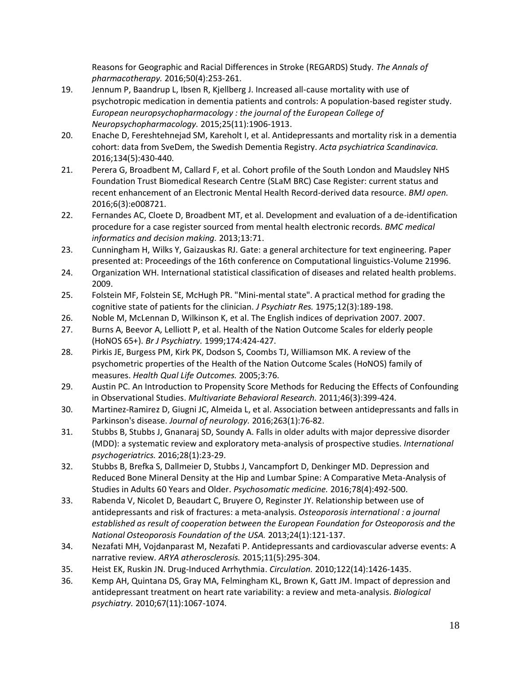Reasons for Geographic and Racial Differences in Stroke (REGARDS) Study. *The Annals of pharmacotherapy.* 2016;50(4):253-261.

- <span id="page-17-5"></span>19. Jennum P, Baandrup L, Ibsen R, Kjellberg J. Increased all-cause mortality with use of psychotropic medication in dementia patients and controls: A population-based register study. *European neuropsychopharmacology : the journal of the European College of Neuropsychopharmacology.* 2015;25(11):1906-1913.
- 20. Enache D, Fereshtehnejad SM, Kareholt I, et al. Antidepressants and mortality risk in a dementia cohort: data from SveDem, the Swedish Dementia Registry. *Acta psychiatrica Scandinavica.*  2016;134(5):430-440.
- <span id="page-17-0"></span>21. Perera G, Broadbent M, Callard F, et al. Cohort profile of the South London and Maudsley NHS Foundation Trust Biomedical Research Centre (SLaM BRC) Case Register: current status and recent enhancement of an Electronic Mental Health Record-derived data resource. *BMJ open.*  2016;6(3):e008721.
- <span id="page-17-1"></span>22. Fernandes AC, Cloete D, Broadbent MT, et al. Development and evaluation of a de-identification procedure for a case register sourced from mental health electronic records. *BMC medical informatics and decision making.* 2013;13:71.
- <span id="page-17-2"></span>23. Cunningham H, Wilks Y, Gaizauskas RJ. Gate: a general architecture for text engineering. Paper presented at: Proceedings of the 16th conference on Computational linguistics-Volume 21996.
- 24. Organization WH. International statistical classification of diseases and related health problems. 2009.
- 25. Folstein MF, Folstein SE, McHugh PR. "Mini-mental state". A practical method for grading the cognitive state of patients for the clinician. *J Psychiatr Res.* 1975;12(3):189-198.
- 26. Noble M, McLennan D, Wilkinson K, et al. The English indices of deprivation 2007. 2007.
- <span id="page-17-3"></span>27. Burns A, Beevor A, Lelliott P, et al. Health of the Nation Outcome Scales for elderly people (HoNOS 65+). *Br J Psychiatry.* 1999;174:424-427.
- <span id="page-17-4"></span>28. Pirkis JE, Burgess PM, Kirk PK, Dodson S, Coombs TJ, Williamson MK. A review of the psychometric properties of the Health of the Nation Outcome Scales (HoNOS) family of measures. *Health Qual Life Outcomes.* 2005;3:76.
- 29. Austin PC. An Introduction to Propensity Score Methods for Reducing the Effects of Confounding in Observational Studies. *Multivariate Behavioral Research.* 2011;46(3):399-424.
- <span id="page-17-6"></span>30. Martinez-Ramirez D, Giugni JC, Almeida L, et al. Association between antidepressants and falls in Parkinson's disease. *Journal of neurology.* 2016;263(1):76-82.
- <span id="page-17-7"></span>31. Stubbs B, Stubbs J, Gnanaraj SD, Soundy A. Falls in older adults with major depressive disorder (MDD): a systematic review and exploratory meta-analysis of prospective studies. *International psychogeriatrics.* 2016;28(1):23-29.
- 32. Stubbs B, Brefka S, Dallmeier D, Stubbs J, Vancampfort D, Denkinger MD. Depression and Reduced Bone Mineral Density at the Hip and Lumbar Spine: A Comparative Meta-Analysis of Studies in Adults 60 Years and Older. *Psychosomatic medicine.* 2016;78(4):492-500.
- 33. Rabenda V, Nicolet D, Beaudart C, Bruyere O, Reginster JY. Relationship between use of antidepressants and risk of fractures: a meta-analysis. *Osteoporosis international : a journal established as result of cooperation between the European Foundation for Osteoporosis and the National Osteoporosis Foundation of the USA.* 2013;24(1):121-137.
- 34. Nezafati MH, Vojdanparast M, Nezafati P. Antidepressants and cardiovascular adverse events: A narrative review. *ARYA atherosclerosis.* 2015;11(5):295-304.
- 35. Heist EK, Ruskin JN. Drug-Induced Arrhythmia. *Circulation.* 2010;122(14):1426-1435.
- 36. Kemp AH, Quintana DS, Gray MA, Felmingham KL, Brown K, Gatt JM. Impact of depression and antidepressant treatment on heart rate variability: a review and meta-analysis. *Biological psychiatry.* 2010;67(11):1067-1074.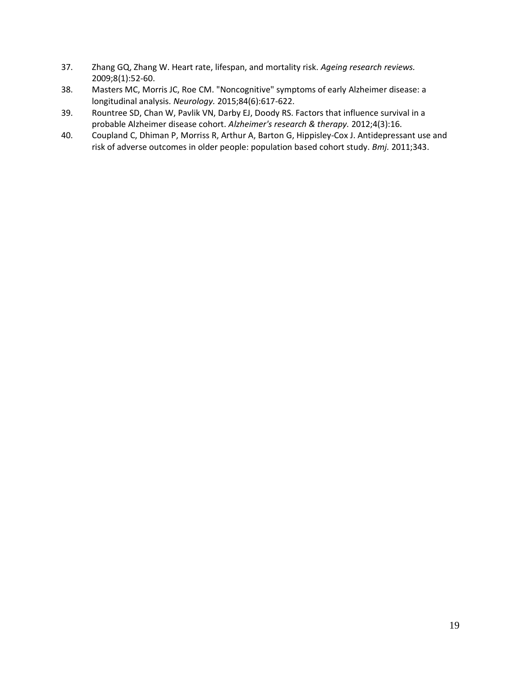- 37. Zhang GQ, Zhang W. Heart rate, lifespan, and mortality risk. *Ageing research reviews.*  2009;8(1):52-60.
- 38. Masters MC, Morris JC, Roe CM. "Noncognitive" symptoms of early Alzheimer disease: a longitudinal analysis. *Neurology.* 2015;84(6):617-622.
- 39. Rountree SD, Chan W, Pavlik VN, Darby EJ, Doody RS. Factors that influence survival in a probable Alzheimer disease cohort. *Alzheimer's research & therapy.* 2012;4(3):16.
- 40. Coupland C, Dhiman P, Morriss R, Arthur A, Barton G, Hippisley-Cox J. Antidepressant use and risk of adverse outcomes in older people: population based cohort study. *Bmj.* 2011;343.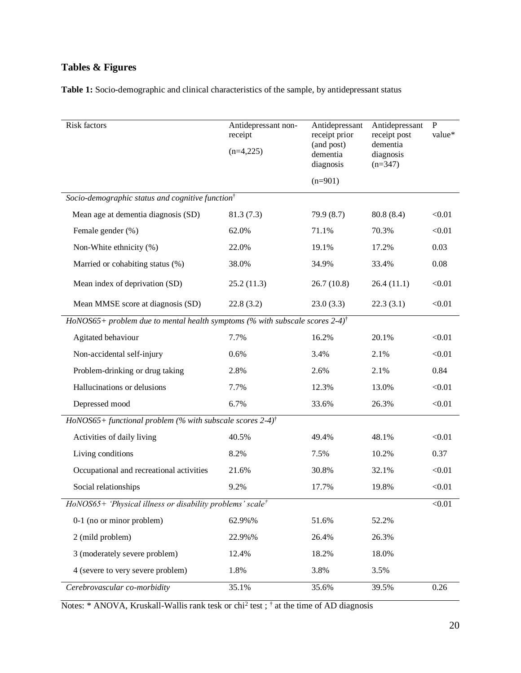# **Tables & Figures**

| Table 1: Socio-demographic and clinical characteristics of the sample, by antidepressant status |  |
|-------------------------------------------------------------------------------------------------|--|
|-------------------------------------------------------------------------------------------------|--|

| Risk factors                                                                             | Antidepressant non-<br>receipt       | Antidepressant<br>receipt prior<br>(and post) | Antidepressant<br>receipt post     | $\mathbf{P}$<br>value* |  |  |  |  |  |
|------------------------------------------------------------------------------------------|--------------------------------------|-----------------------------------------------|------------------------------------|------------------------|--|--|--|--|--|
|                                                                                          | $(n=4,225)$<br>dementia<br>diagnosis |                                               | dementia<br>diagnosis<br>$(n=347)$ |                        |  |  |  |  |  |
|                                                                                          |                                      | $(n=901)$                                     |                                    |                        |  |  |  |  |  |
| Socio-demographic status and cognitive function <sup>†</sup>                             |                                      |                                               |                                    |                        |  |  |  |  |  |
| Mean age at dementia diagnosis (SD)                                                      | 81.3(7.3)                            | 79.9(8.7)                                     | 80.8(8.4)                          | < 0.01                 |  |  |  |  |  |
| Female gender (%)                                                                        | 62.0%                                | 71.1%                                         | 70.3%                              | < 0.01                 |  |  |  |  |  |
| Non-White ethnicity (%)                                                                  | 22.0%                                | 19.1%                                         | 17.2%                              | 0.03                   |  |  |  |  |  |
| Married or cohabiting status (%)                                                         | 38.0%                                | 34.9%                                         | 33.4%                              | 0.08                   |  |  |  |  |  |
| Mean index of deprivation (SD)                                                           | 25.2(11.3)                           | 26.7(10.8)                                    | 26.4(11.1)                         | < 0.01                 |  |  |  |  |  |
| Mean MMSE score at diagnosis (SD)                                                        | 22.8(3.2)                            | 23.0(3.3)                                     | 22.3(3.1)                          | < 0.01                 |  |  |  |  |  |
| HoNOS65+ problem due to mental health symptoms (% with subscale scores 2-4) <sup>†</sup> |                                      |                                               |                                    |                        |  |  |  |  |  |
| Agitated behaviour                                                                       | 7.7%                                 | 16.2%                                         | 20.1%                              | < 0.01                 |  |  |  |  |  |
| Non-accidental self-injury                                                               | 0.6%                                 | 3.4%                                          | 2.1%                               | < 0.01                 |  |  |  |  |  |
| Problem-drinking or drug taking                                                          | 2.8%                                 | 2.6%                                          | 2.1%                               | 0.84                   |  |  |  |  |  |
| Hallucinations or delusions                                                              | 7.7%                                 | 12.3%                                         | 13.0%                              | < 0.01                 |  |  |  |  |  |
| Depressed mood                                                                           | 6.7%                                 | 33.6%                                         | 26.3%                              | < 0.01                 |  |  |  |  |  |
| HoNOS65+ functional problem (% with subscale scores 2-4) <sup>†</sup>                    |                                      |                                               |                                    |                        |  |  |  |  |  |
| Activities of daily living                                                               | 40.5%                                | 49.4%                                         | 48.1%                              | < 0.01                 |  |  |  |  |  |
| Living conditions                                                                        | 8.2%                                 | 7.5%                                          | 10.2%                              | 0.37                   |  |  |  |  |  |
| Occupational and recreational activities                                                 | 21.6%                                | 30.8%                                         | 32.1%                              | < 0.01                 |  |  |  |  |  |
| Social relationships                                                                     | 9.2%                                 | 17.7%                                         | 19.8%                              | < 0.01                 |  |  |  |  |  |
| $HoNOS65+$ 'Physical illness or disability problems' scale <sup>†</sup><br>< 0.01        |                                      |                                               |                                    |                        |  |  |  |  |  |
| 0-1 (no or minor problem)                                                                | 62.9%%                               | 51.6%                                         | 52.2%                              |                        |  |  |  |  |  |
| 2 (mild problem)                                                                         | 22.9%%                               | 26.4%                                         | 26.3%                              |                        |  |  |  |  |  |
| 3 (moderately severe problem)                                                            | 12.4%                                | 18.2%                                         | 18.0%                              |                        |  |  |  |  |  |
| 4 (severe to very severe problem)                                                        | 1.8%                                 | 3.8%                                          | 3.5%                               |                        |  |  |  |  |  |
| Cerebrovascular co-morbidity                                                             | 35.1%                                | 35.6%                                         | 39.5%                              | 0.26                   |  |  |  |  |  |

Notes: \* ANOVA, Kruskall-Wallis rank tesk or chi<sup>2</sup> test; † at the time of AD diagnosis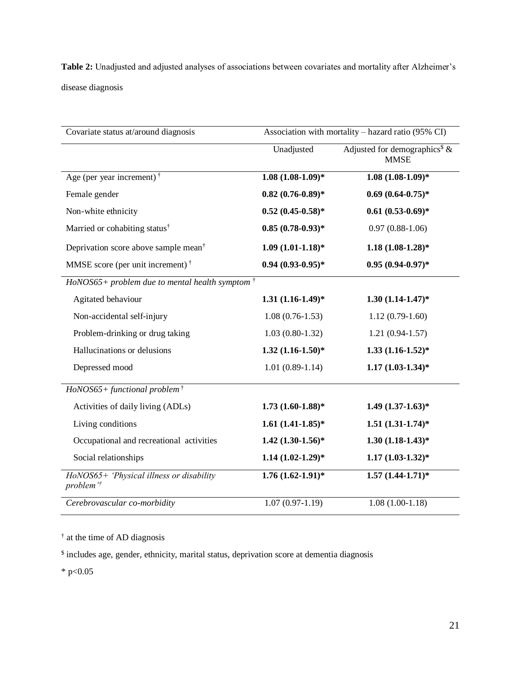**Table 2:** Unadjusted and adjusted analyses of associations between covariates and mortality after Alzheimer's disease diagnosis

| Covariate status at/around diagnosis                              | Association with mortality – hazard ratio (95% CI) |                                                          |  |  |  |
|-------------------------------------------------------------------|----------------------------------------------------|----------------------------------------------------------|--|--|--|
|                                                                   | Unadjusted                                         | Adjusted for demographics <sup>\$</sup> &<br><b>MMSE</b> |  |  |  |
| Age (per year increment) <sup>†</sup>                             | $1.08(1.08-1.09)*$                                 | $1.08(1.08-1.09)*$                                       |  |  |  |
| Female gender                                                     | $0.82(0.76-0.89)*$                                 | $0.69(0.64-0.75)*$                                       |  |  |  |
| Non-white ethnicity                                               | $0.52(0.45-0.58)*$                                 | $0.61(0.53-0.69)*$                                       |  |  |  |
| Married or cohabiting status <sup>†</sup>                         | $0.85(0.78-0.93)*$                                 | $0.97(0.88-1.06)$                                        |  |  |  |
| Deprivation score above sample mean <sup>†</sup>                  | $1.09(1.01-1.18)*$                                 | $1.18(1.08-1.28)*$                                       |  |  |  |
| MMSE score (per unit increment) <sup><math>\dagger</math></sup>   | $0.94(0.93-0.95)*$                                 | $0.95(0.94-0.97)$ *                                      |  |  |  |
| HoNOS65+ problem due to mental health symptom $\dagger$           |                                                    |                                                          |  |  |  |
| Agitated behaviour                                                | $1.31(1.16-1.49)*$                                 | $1.30(1.14-1.47)$ *                                      |  |  |  |
| Non-accidental self-injury                                        | $1.08(0.76-1.53)$                                  | $1.12(0.79-1.60)$                                        |  |  |  |
| Problem-drinking or drug taking                                   | $1.03(0.80-1.32)$                                  | $1.21(0.94-1.57)$                                        |  |  |  |
| Hallucinations or delusions                                       | $1.32 (1.16 - 1.50)^*$                             | $1.33(1.16-1.52)*$                                       |  |  |  |
| Depressed mood                                                    | $1.01(0.89-1.14)$                                  | $1.17(1.03-1.34)*$                                       |  |  |  |
| $HoNOS65+ functional problem^{\dagger}$                           |                                                    |                                                          |  |  |  |
| Activities of daily living (ADLs)                                 | $1.73(1.60-1.88)*$                                 | $1.49(1.37-1.63)*$                                       |  |  |  |
| Living conditions                                                 | $1.61 (1.41 - 1.85)^*$                             | $1.51(1.31-1.74)*$                                       |  |  |  |
| Occupational and recreational activities                          | $1.42$ $(1.30-1.56)*$                              | $1.30(1.18-1.43)*$                                       |  |  |  |
| Social relationships                                              | $1.14 (1.02 - 1.29)^*$                             | $1.17(1.03-1.32)*$                                       |  |  |  |
| HoNOS65+ 'Physical illness or disability<br>problem' <sup>†</sup> | $1.76(1.62-1.91)$ *                                | $1.57(1.44-1.71)*$                                       |  |  |  |
| Cerebrovascular co-morbidity                                      | $1.07(0.97-1.19)$                                  | $1.08(1.00-1.18)$                                        |  |  |  |

† at the time of AD diagnosis

<sup>\$</sup> includes age, gender, ethnicity, marital status, deprivation score at dementia diagnosis

\* p< $0.05$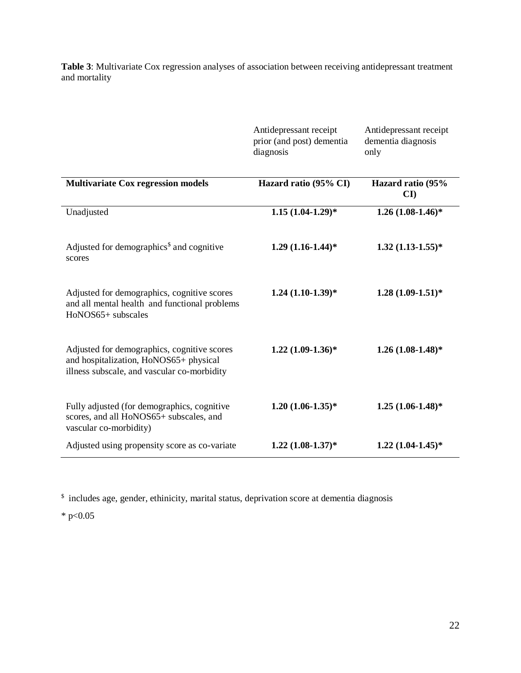**Table 3**: Multivariate Cox regression analyses of association between receiving antidepressant treatment and mortality

|                                                                                                                                      | Antidepressant receipt<br>prior (and post) dementia<br>diagnosis | Antidepressant receipt<br>dementia diagnosis<br>only |  |  |
|--------------------------------------------------------------------------------------------------------------------------------------|------------------------------------------------------------------|------------------------------------------------------|--|--|
| <b>Multivariate Cox regression models</b>                                                                                            | Hazard ratio (95% CI)                                            | Hazard ratio (95%<br>$\mathbf{C}\mathbf{I}$          |  |  |
| Unadjusted                                                                                                                           | $1.15(1.04-1.29)*$                                               | $1.26(1.08-1.46)*$                                   |  |  |
| Adjusted for demographics <sup>\$</sup> and cognitive<br>scores                                                                      | $1.29(1.16-1.44)*$                                               | $1.32(1.13-1.55)*$                                   |  |  |
| Adjusted for demographics, cognitive scores<br>and all mental health and functional problems<br>HoNOS65+ subscales                   | $1.24(1.10-1.39)*$                                               | $1.28(1.09-1.51)*$                                   |  |  |
| Adjusted for demographics, cognitive scores<br>and hospitalization, HoNOS65+ physical<br>illness subscale, and vascular co-morbidity | $1.22(1.09-1.36)*$                                               | $1.26(1.08-1.48)$ *                                  |  |  |
| Fully adjusted (for demographics, cognitive<br>scores, and all HoNOS65+ subscales, and<br>vascular co-morbidity)                     | $1.20 (1.06 - 1.35)^*$                                           | $1.25(1.06-1.48)$ *                                  |  |  |
| Adjusted using propensity score as co-variate                                                                                        | $1.22 (1.08 - 1.37)^*$                                           | $1.22 (1.04 - 1.45)^*$                               |  |  |

<sup>\$</sup> includes age, gender, ethinicity, marital status, deprivation score at dementia diagnosis

\* p< $0.05$